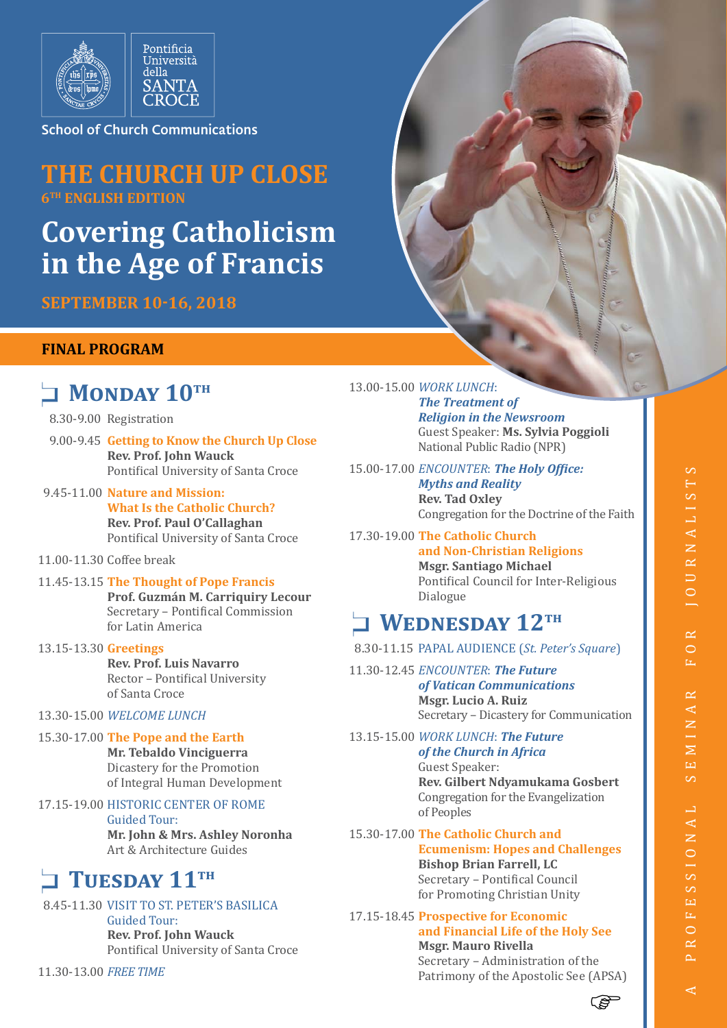

School of Church Communications

## **THE CHURCH UP CLOSE 6TH ENGLISH EDITION**

# **Covering Catholicism in the Age of Francis**

**SEPTEMBER 10-16, 2018**

### **FINAL PROGRAM**

# **NONDAY 10TH**

8.30-9.00 Registration

- 9.00-9.45 **Getting to Know the Church Up Close Rev. Prof. John Wauck** Pontifical University of Santa Croce
- 9.45-11.00 **Nature and Mission: What Is the Catholic Church? Rev. Prof. Paul O'Callaghan** Pontifical University of Santa Croce

11.00-11.30 Coffee break

#### 11.45-13.15 **The Thought of Pope Francis**

**Prof. Guzmán M. Carriquiry Lecour** Secretary – Pontifical Commission for Latin America

13.15-13.30 **Greetings Rev. Prof. Luis Navarro** Rector – Pontifical University of Santa Croce

#### 13.30-15.00 *WELCOME LUNCH*

#### 15.30-17.00 **The Pope and the Earth**

**Mr. Tebaldo Vinciguerra** Dicastery for the Promotion of Integral Human Development

#### 17.15-19.00 HISTORIC CENTER OF ROME

Guided Tour:

**Mr. John & Mrs. Ashley Noronha** Art & Architecture Guides

## **TUESDAY 11TH**

#### 8.45-11.30 VISIT TO ST. PETER'S BASILICA

Guided Tour: **Rev. Prof. John Wauck** Pontifical University of Santa Croce

11.30-13.00 *FREE TIME*

13.00-15.00 *WORK LUNCH*: *The Treatment of Religion in the Newsroom* Guest Speaker: **Ms. Sylvia Poggioli** National Public Radio (NPR)

15.00-17.00 *ENCOUNTER*: *The Holy Office: Myths and Reality* **Rev. Tad Oxley** Congregation for the Doctrine of the Faith

17.30-19.00 **The Catholic Church and Non-Christian Religions Msgr. Santiago Michael**  Pontifical Council for Inter-Religious Dialogue

## **NEDNESDAY 12TH**

8.30-11.15 PAPAL AUDIENCE (*St. Peter's Square*)

11.30-12.45 *ENCOUNTER*: *The Future of Vatican Communications* **Msgr. Lucio A. Ruiz** Secretary – Dicastery for Communication

13.15-15.00 *WORK LUNCH*: *The Future of the Church in Africa* Guest Speaker: **Rev. Gilbert Ndyamukama Gosbert** Congregation for the Evangelization of Peoples

15.30-17.00 **The Catholic Church and Ecumenism: Hopes and Challenges Bishop Brian Farrell, LC** Secretary – Pontifical Council for Promoting Christian Unity

17.15-18.45 **Prospective for Economic and Financial Life of the Holy See Msgr. Mauro Rivella** Secretary – Administration of the

Patrimony of the Apostolic See (APSA)